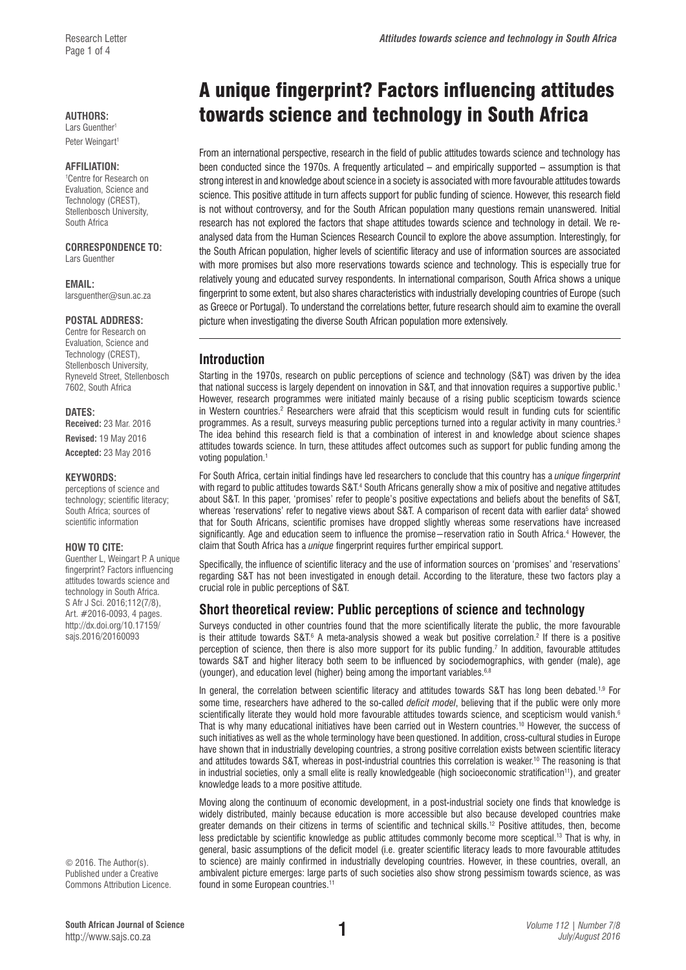Peter Weingart<sup>1</sup>

#### **AFFILIATION:**

1 Centre for Research on Evaluation, Science and Technology (CREST), Stellenbosch University, South Africa

#### **CORRESPONDENCE TO:**  Lars Guenther

**EMAIL:** 

[larsguenther@sun.ac.za](mailto:larsguenther@sun.ac.za)

### **POSTAL ADDRESS:**

Centre for Research on Evaluation, Science and Technology (CREST), Stellenbosch University, Ryneveld Street, Stellenbosch 7602, South Africa

#### **DATES:**

**Received:** 23 Mar. 2016 **Revised:** 19 May 2016 **Accepted:** 23 May 2016

#### **KEYWORDS:**

perceptions of science and technology; scientific literacy; South Africa; sources of scientific information

#### **HOW TO CITE:**

Guenther L, Weingart P. A unique fingerprint? Factors influencing attitudes towards science and technology in South Africa. S Afr J Sci. 2016;112(7/8), Art. #2016-0093, 4 pages. [http://dx.doi.org/10.17159/](http://dx.doi.org/10.17159/sajs.2016/20160093) [sajs.2016/20160093](http://dx.doi.org/10.17159/sajs.2016/20160093)

© 2016. The Author(s). Published under a Creative Commons Attribution Licence.

# A unique fingerprint? Factors influencing attitudes AUTHORS:<br>Lars Guenther<sup>1</sup><br>
Lars Guenther<sup>1</sup>

From an international perspective, research in the field of public attitudes towards science and technology has been conducted since the 1970s. A frequently articulated – and empirically supported – assumption is that strong interest in and knowledge about science in a society is associated with more favourable attitudes towards science. This positive attitude in turn affects support for public funding of science. However, this research field is not without controversy, and for the South African population many questions remain unanswered. Initial research has not explored the factors that shape attitudes towards science and technology in detail. We reanalysed data from the Human Sciences Research Council to explore the above assumption. Interestingly, for the South African population, higher levels of scientific literacy and use of information sources are associated with more promises but also more reservations towards science and technology. This is especially true for relatively young and educated survey respondents. In international comparison, South Africa shows a unique fingerprint to some extent, but also shares characteristics with industrially developing countries of Europe (such as Greece or Portugal). To understand the correlations better, future research should aim to examine the overall picture when investigating the diverse South African population more extensively.

### **Introduction**

Starting in the 1970s, research on public perceptions of science and technology (S&T) was driven by the idea that national success is largely dependent on innovation in S&T, and that innovation requires a supportive public.<sup>1</sup> However, research programmes were initiated mainly because of a rising public scepticism towards science in Western countries.<sup>2</sup> Researchers were afraid that this scepticism would result in funding cuts for scientific programmes. As a result, surveys measuring public perceptions turned into a regular activity in many countries.<sup>3</sup> The idea behind this research field is that a combination of interest in and knowledge about science shapes attitudes towards science. In turn, these attitudes affect outcomes such as support for public funding among the voting population.<sup>1</sup>

For South Africa, certain initial findings have led researchers to conclude that this country has a *unique fingerprint* with regard to public attitudes towards S&T.<sup>4</sup> South Africans generally show a mix of positive and negative attitudes about S&T. In this paper, 'promises' refer to people's positive expectations and beliefs about the benefits of S&T, whereas 'reservations' refer to negative views about S&T. A comparison of recent data with earlier data<sup>5</sup> showed that for South Africans, scientific promises have dropped slightly whereas some reservations have increased significantly. Age and education seem to influence the promise−reservation ratio in South Africa.<sup>4</sup> However, the claim that South Africa has a *unique* fingerprint requires further empirical support.

Specifically, the influence of scientific literacy and the use of information sources on 'promises' and 'reservations' regarding S&T has not been investigated in enough detail. According to the literature, these two factors play a crucial role in public perceptions of S&T.

### **Short theoretical review: Public perceptions of science and technology**

Surveys conducted in other countries found that the more scientifically literate the public, the more favourable is their attitude towards S&T.<sup>6</sup> A meta-analysis showed a weak but positive correlation.<sup>2</sup> If there is a positive perception of science, then there is also more support for its public funding.7 In addition, favourable attitudes towards S&T and higher literacy both seem to be influenced by sociodemographics, with gender (male), age (younger), and education level (higher) being among the important variables.<sup>6,8</sup>

In general, the correlation between scientific literacy and attitudes towards S&T has long been debated.<sup>1,9</sup> For some time, researchers have adhered to the so-called *deficit model*, believing that if the public were only more scientifically literate they would hold more favourable attitudes towards science, and scepticism would vanish.<sup>6</sup> That is why many educational initiatives have been carried out in Western countries.10 However, the success of such initiatives as well as the whole terminology have been questioned. In addition, cross-cultural studies in Europe have shown that in industrially developing countries, a strong positive correlation exists between scientific literacy and attitudes towards S&T, whereas in post-industrial countries this correlation is weaker.<sup>10</sup> The reasoning is that in industrial societies, only a small elite is really knowledgeable (high socioeconomic stratification<sup>11</sup>), and greater knowledge leads to a more positive attitude.

Moving along the continuum of economic development, in a post-industrial society one finds that knowledge is widely distributed, mainly because education is more accessible but also because developed countries make greater demands on their citizens in terms of scientific and technical skills.<sup>12</sup> Positive attitudes, then, become less predictable by scientific knowledge as public attitudes commonly become more sceptical.13 That is why, in general, basic assumptions of the deficit model (i.e. greater scientific literacy leads to more favourable attitudes to science) are mainly confirmed in industrially developing countries. However, in these countries, overall, an ambivalent picture emerges: large parts of such societies also show strong pessimism towards science, as was found in some European countries.<sup>11</sup>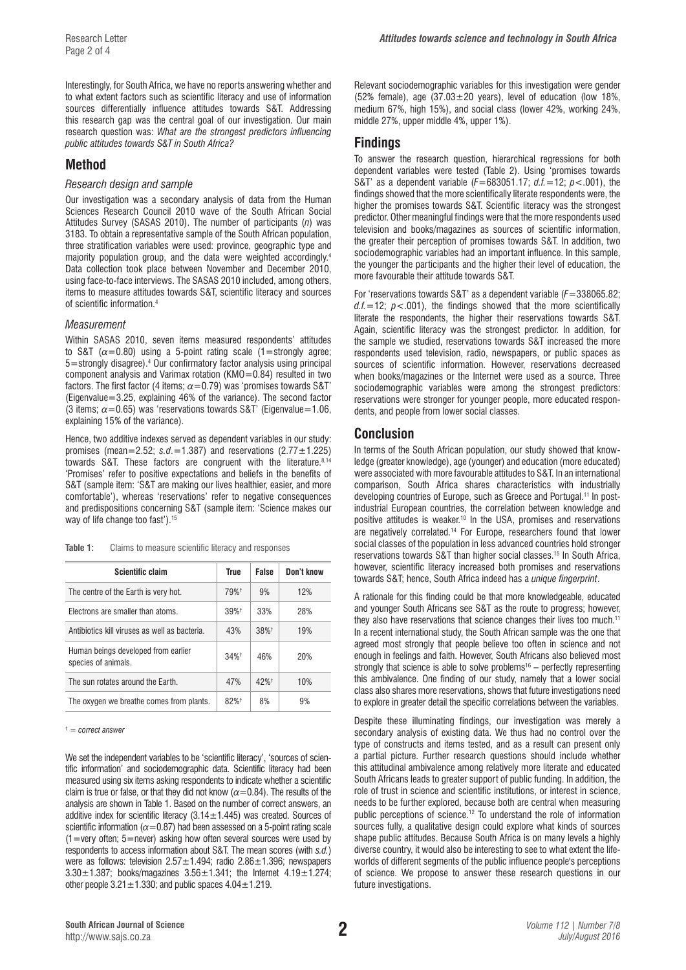Interestingly, for South Africa, we have no reports answering whether and to what extent factors such as scientific literacy and use of information sources differentially influence attitudes towards S&T. Addressing this research gap was the central goal of our investigation. Our main research question was: *What are the strongest predictors influencing public attitudes towards S&T in South Africa?*

### **Method**

### *Research design and sample*

Our investigation was a secondary analysis of data from the Human Sciences Research Council 2010 wave of the South African Social Attitudes Survey (SASAS 2010). The number of participants (*n*) was 3183. To obtain a representative sample of the South African population, three stratification variables were used: province, geographic type and majority population group, and the data were weighted accordingly.4 Data collection took place between November and December 2010, using face-to-face interviews. The SASAS 2010 included, among others, items to measure attitudes towards S&T, scientific literacy and sources of scientific information.4

#### *Measurement*

Within SASAS 2010, seven items measured respondents' attitudes to S&T  $(\alpha=0.80)$  using a 5-point rating scale (1=strongly agree; 5=strongly disagree).4 Our confirmatory factor analysis using principal component analysis and Varimax rotation (KMO=0.84) resulted in two factors. The first factor (4 items;  $\alpha$  = 0.79) was 'promises towards S&T' (Eigenvalue=3.25, explaining 46% of the variance). The second factor (3 items; *α*=0.65) was 'reservations towards S&T' (Eigenvalue=1.06, explaining 15% of the variance).

Hence, two additive indexes served as dependent variables in our study: promises (mean=2.52;  $s.d. = 1.387$ ) and reservations  $(2.77 \pm 1.225)$ towards S&T. These factors are congruent with the literature.8,14 'Promises' refer to positive expectations and beliefs in the benefits of S&T (sample item: 'S&T are making our lives healthier, easier, and more comfortable'), whereas 'reservations' refer to negative consequences and predispositions concerning S&T (sample item: 'Science makes our way of life change too fast').<sup>15</sup>

**Table 1:** Claims to measure scientific literacy and responses

| <b>Scientific claim</b>                                    | <b>True</b>        | <b>False</b>       | Don't know |  |
|------------------------------------------------------------|--------------------|--------------------|------------|--|
| The centre of the Earth is very hot.                       | 79% <sup>+</sup>   | 9%                 | 12%        |  |
| Flectrons are smaller than atoms.                          | $39%$ <sup>+</sup> | 33%                | 28%        |  |
| Antibiotics kill viruses as well as bacteria.              | 43%                | 38%+               | 19%        |  |
| Human beings developed from earlier<br>species of animals. | $34%$ <sup>+</sup> | 46%                | 20%        |  |
| The sun rotates around the Farth.                          | 47%                | $42%$ <sup>+</sup> | 10%        |  |
| The oxygen we breathe comes from plants.                   | $82%$ <sup>+</sup> | 8%                 | 9%         |  |

<sup>†</sup>  *= correct answer* 

We set the independent variables to be 'scientific literacy', 'sources of scientific information' and sociodemographic data. Scientific literacy had been measured using six items asking respondents to indicate whether a scientific claim is true or false, or that they did not know  $(\alpha = 0.84)$ . The results of the analysis are shown in Table 1. Based on the number of correct answers, an additive index for scientific literacy  $(3.14 \pm 1.445)$  was created. Sources of scientific information ( $\alpha$ =0.87) had been assessed on a 5-point rating scale (1=very often; 5=never) asking how often several sources were used by respondents to access information about S&T. The mean scores (with *s.d.*) were as follows: television  $2.57 \pm 1.494$ ; radio  $2.86 \pm 1.396$ ; newspapers  $3.30 \pm 1.387$ ; books/magazines  $3.56 \pm 1.341$ ; the Internet  $4.19 \pm 1.274$ ; other people  $3.21 \pm 1.330$ ; and public spaces  $4.04 \pm 1.219$ .

Relevant sociodemographic variables for this investigation were gender (52% female), age  $(37.03 \pm 20$  years), level of education (low 18%, medium 67%, high 15%), and social class (lower 42%, working 24%, middle 27%, upper middle 4%, upper 1%).

### **Findings**

To answer the research question, hierarchical regressions for both dependent variables were tested (Table 2). Using 'promises towards S&T' as a dependent variable (*F*=683051.17; *d.f.*=12; *p*<.001), the findings showed that the more scientifically literate respondents were, the higher the promises towards S&T. Scientific literacy was the strongest predictor. Other meaningful findings were that the more respondents used television and books/magazines as sources of scientific information, the greater their perception of promises towards S&T. In addition, two sociodemographic variables had an important influence. In this sample, the younger the participants and the higher their level of education, the more favourable their attitude towards S&T.

For 'reservations towards S&T' as a dependent variable (*F*=338065.82;  $d.f = 12$ ;  $p < .001$ ), the findings showed that the more scientifically literate the respondents, the higher their reservations towards S&T. Again, scientific literacy was the strongest predictor. In addition, for the sample we studied, reservations towards S&T increased the more respondents used television, radio, newspapers, or public spaces as sources of scientific information. However, reservations decreased when books/magazines or the Internet were used as a source. Three sociodemographic variables were among the strongest predictors: reservations were stronger for younger people, more educated respondents, and people from lower social classes.

### **Conclusion**

In terms of the South African population, our study showed that knowledge (greater knowledge), age (younger) and education (more educated) were associated with more favourable attitudes to S&T. In an international comparison, South Africa shares characteristics with industrially developing countries of Europe, such as Greece and Portugal.<sup>11</sup> In postindustrial European countries, the correlation between knowledge and positive attitudes is weaker.10 In the USA, promises and reservations are negatively correlated.14 For Europe, researchers found that lower social classes of the population in less advanced countries hold stronger reservations towards S&T than higher social classes.15 In South Africa, however, scientific literacy increased both promises and reservations towards S&T; hence, South Africa indeed has a *unique fingerprint*.

A rationale for this finding could be that more knowledgeable, educated and younger South Africans see S&T as the route to progress; however, they also have reservations that science changes their lives too much.<sup>11</sup> In a recent international study, the South African sample was the one that agreed most strongly that people believe too often in science and not enough in feelings and faith. However, South Africans also believed most strongly that science is able to solve problems<sup>16</sup> - perfectly representing this ambivalence. One finding of our study, namely that a lower social class also shares more reservations, shows that future investigations need to explore in greater detail the specific correlations between the variables.

Despite these illuminating findings, our investigation was merely a secondary analysis of existing data. We thus had no control over the type of constructs and items tested, and as a result can present only a partial picture. Further research questions should include whether this attitudinal ambivalence among relatively more literate and educated South Africans leads to greater support of public funding. In addition, the role of trust in science and scientific institutions, or interest in science, needs to be further explored, because both are central when measuring public perceptions of science.12 To understand the role of information sources fully, a qualitative design could explore what kinds of sources shape public attitudes. Because South Africa is on many levels a highly diverse country, it would also be interesting to see to what extent the lifeworlds of different segments of the public influence people's perceptions of science. We propose to answer these research questions in our future investigations.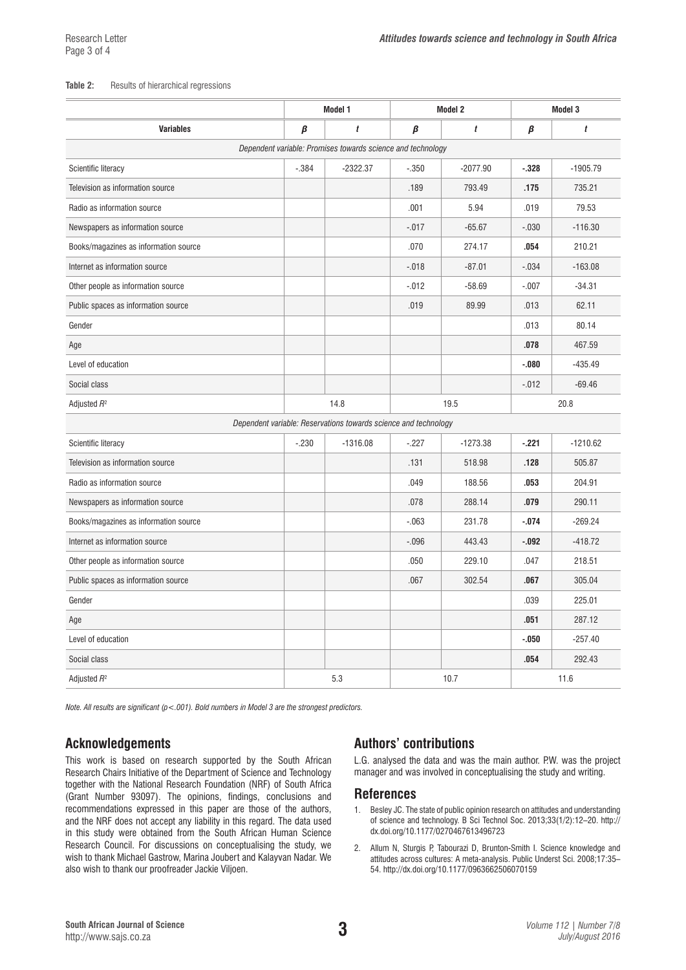#### **Table 2:** Results of hierarchical regressions

|                                                                 | Model 1 |              | <b>Model 2</b> |            | <b>Model 3</b> |            |  |  |  |
|-----------------------------------------------------------------|---------|--------------|----------------|------------|----------------|------------|--|--|--|
| <b>Variables</b>                                                | β       | $\mathbf{f}$ | β              | t          | β              | t          |  |  |  |
| Dependent variable: Promises towards science and technology     |         |              |                |            |                |            |  |  |  |
| Scientific literacy                                             | $-.384$ | $-2322.37$   | $-.350$        | $-2077.90$ | $-.328$        | $-1905.79$ |  |  |  |
| Television as information source                                |         |              | .189           | 793.49     | .175           | 735.21     |  |  |  |
| Radio as information source                                     |         |              | .001           | 5.94       | .019           | 79.53      |  |  |  |
| Newspapers as information source                                |         |              | $-.017$        | $-65.67$   | $-.030$        | $-116.30$  |  |  |  |
| Books/magazines as information source                           |         |              | .070           | 274.17     | .054           | 210.21     |  |  |  |
| Internet as information source                                  |         |              | $-.018$        | $-87.01$   | $-.034$        | $-163.08$  |  |  |  |
| Other people as information source                              |         |              | $-0.012$       | $-58.69$   | $-.007$        | $-34.31$   |  |  |  |
| Public spaces as information source                             |         |              | .019           | 89.99      | .013           | 62.11      |  |  |  |
| Gender                                                          |         |              |                |            | .013           | 80.14      |  |  |  |
| Age                                                             |         |              |                |            | .078           | 467.59     |  |  |  |
| Level of education                                              |         |              |                |            | $-080$         | $-435.49$  |  |  |  |
| Social class                                                    |         |              |                |            | $-0.012$       | $-69.46$   |  |  |  |
| Adjusted $R^2$                                                  | 14.8    |              | 19.5           |            | 20.8           |            |  |  |  |
| Dependent variable: Reservations towards science and technology |         |              |                |            |                |            |  |  |  |
| Scientific literacy                                             | $-.230$ | $-1316.08$   | $-.227$        | $-1273.38$ | $-.221$        | $-1210.62$ |  |  |  |
| Television as information source                                |         |              | .131           | 518.98     | .128           | 505.87     |  |  |  |
| Radio as information source                                     |         |              | .049           | 188.56     | .053           | 204.91     |  |  |  |
| Newspapers as information source                                |         |              | .078           | 288.14     | .079           | 290.11     |  |  |  |
| Books/magazines as information source                           |         |              | $-063$         | 231.78     | $-.074$        | $-269.24$  |  |  |  |
| Internet as information source                                  |         |              | $-.096$        | 443.43     | $-.092$        | $-418.72$  |  |  |  |
| Other people as information source                              |         |              | .050           | 229.10     | .047           | 218.51     |  |  |  |
| Public spaces as information source                             |         |              | .067           | 302.54     | .067           | 305.04     |  |  |  |
| Gender                                                          |         |              |                |            | .039           | 225.01     |  |  |  |
| Age                                                             |         |              |                |            | .051           | 287.12     |  |  |  |
| Level of education                                              |         |              |                |            | $-.050$        | $-257.40$  |  |  |  |
| Social class                                                    |         |              |                |            | .054           | 292.43     |  |  |  |
| Adjusted $R^2$                                                  | 5.3     |              | 10.7           |            | 11.6           |            |  |  |  |

*Note. All results are significant (p<.001). Bold numbers in Model 3 are the strongest predictors.*

### **Acknowledgements**

This work is based on research supported by the South African Research Chairs Initiative of the Department of Science and Technology together with the National Research Foundation (NRF) of South Africa (Grant Number 93097). The opinions, findings, conclusions and recommendations expressed in this paper are those of the authors, and the NRF does not accept any liability in this regard. The data used in this study were obtained from the South African Human Science Research Council. For discussions on conceptualising the study, we wish to thank Michael Gastrow, Marina Joubert and Kalayvan Nadar. We also wish to thank our proofreader Jackie Viljoen.

## **Authors' contributions**

L.G. analysed the data and was the main author. P.W. was the project manager and was involved in conceptualising the study and writing.

### **References**

- 1. Besley JC. The state of public opinion research on attitudes and understanding of science and technology. B Sci Technol Soc. 2013;33(1/2):12–20. [http://](http://dx.doi.org/10.1177/0270467613496723) [dx.doi.org/10.1177/0270467613496723](http://dx.doi.org/10.1177/0270467613496723)
- 2. Allum N, Sturgis P, Tabourazi D, Brunton-Smith I. Science knowledge and attitudes across cultures: A meta-analysis. Public Underst Sci. 2008;17:35– 54. <http://dx.doi.org/10.1177/0963662506070159>